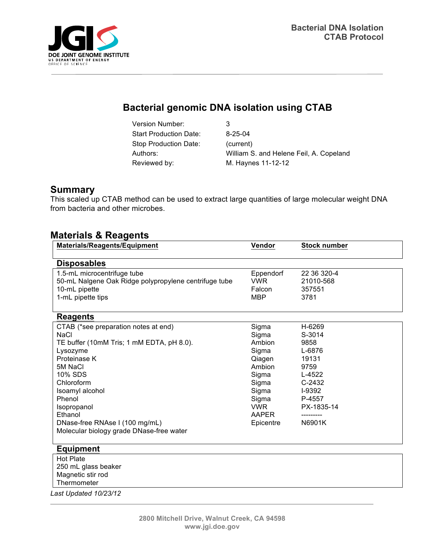

# **Bacterial genomic DNA isolation using CTAB**

Version Number: 3 Start Production Date: 8-25-04 Stop Production Date: (current) Reviewed by: M. Haynes 11-12-12

Authors: William S. and Helene Feil, A. Copeland

### **Summary**

This scaled up CTAB method can be used to extract large quantities of large molecular weight DNA from bacteria and other microbes.

#### **Materials & Reagents**

| <b>Materials/Reagents/Equipment</b>                                                                                                                                                                                                                                                                   | Vendor                                                                                                                               | <b>Stock number</b>                                                                                                     |  |  |  |  |  |
|-------------------------------------------------------------------------------------------------------------------------------------------------------------------------------------------------------------------------------------------------------------------------------------------------------|--------------------------------------------------------------------------------------------------------------------------------------|-------------------------------------------------------------------------------------------------------------------------|--|--|--|--|--|
| <b>Disposables</b>                                                                                                                                                                                                                                                                                    |                                                                                                                                      |                                                                                                                         |  |  |  |  |  |
| 1.5-mL microcentrifuge tube<br>50-mL Nalgene Oak Ridge polypropylene centrifuge tube<br>10-mL pipette<br>1-mL pipette tips                                                                                                                                                                            | Eppendorf<br><b>VWR</b><br>Falcon<br><b>MBP</b>                                                                                      | 22 36 320-4<br>21010-568<br>357551<br>3781                                                                              |  |  |  |  |  |
| <b>Reagents</b>                                                                                                                                                                                                                                                                                       |                                                                                                                                      |                                                                                                                         |  |  |  |  |  |
| CTAB (*see preparation notes at end)<br><b>NaCl</b><br>TE buffer (10mM Tris; 1 mM EDTA, pH 8.0).<br>Lysozyme<br>Proteinase K<br>5M NaCl<br>10% SDS<br>Chloroform<br>Isoamyl alcohol<br>Phenol<br>Isopropanol<br>Ethanol<br>DNase-free RNAse I (100 mg/mL)<br>Molecular biology grade DNase-free water | Sigma<br>Sigma<br>Ambion<br>Sigma<br>Qiagen<br>Ambion<br>Sigma<br>Sigma<br>Sigma<br>Sigma<br><b>VWR</b><br><b>AAPER</b><br>Epicentre | H-6269<br>S-3014<br>9858<br>L-6876<br>19131<br>9759<br>$L-4522$<br>$C-2432$<br>I-9392<br>P-4557<br>PX-1835-14<br>N6901K |  |  |  |  |  |
| <b>Equipment</b>                                                                                                                                                                                                                                                                                      |                                                                                                                                      |                                                                                                                         |  |  |  |  |  |
| <b>Hot Plate</b><br>250 mL glass beaker<br>Magnetic stir rod<br>Thermometer<br>Last Updated 10/23/12                                                                                                                                                                                                  |                                                                                                                                      |                                                                                                                         |  |  |  |  |  |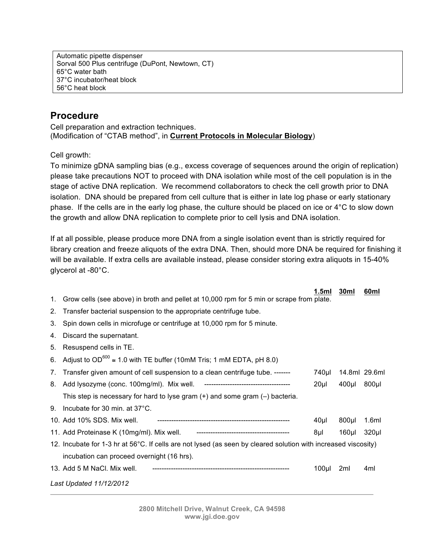Automatic pipette dispenser Sorval 500 Plus centrifuge (DuPont, Newtown, CT) 65°C water bath 37°C incubator/heat block 56°C heat block

## **Procedure**

Cell preparation and extraction techniques. (Modification of "CTAB method", in **Current Protocols in Molecular Biology**)

Cell growth:

To minimize gDNA sampling bias (e.g., excess coverage of sequences around the origin of replication) please take precautions NOT to proceed with DNA isolation while most of the cell population is in the stage of active DNA replication. We recommend collaborators to check the cell growth prior to DNA isolation. DNA should be prepared from cell culture that is either in late log phase or early stationary phase. If the cells are in the early log phase, the culture should be placed on ice or 4°C to slow down the growth and allow DNA replication to complete prior to cell lysis and DNA isolation.

If at all possible, please produce more DNA from a single isolation event than is strictly required for library creation and freeze aliquots of the extra DNA. Then, should more DNA be required for finishing it will be available. If extra cells are available instead, please consider storing extra aliquots in 15-40% glycerol at -80°C.

|    |                                                                                                                 | 1.5ml            | 30ml          | 60ml             |
|----|-----------------------------------------------------------------------------------------------------------------|------------------|---------------|------------------|
| 1. | Grow cells (see above) in broth and pellet at 10,000 rpm for 5 min or scrape from plate.                        |                  |               |                  |
| 2. | Transfer bacterial suspension to the appropriate centrifuge tube.                                               |                  |               |                  |
| 3. | Spin down cells in microfuge or centrifuge at 10,000 rpm for 5 minute.                                          |                  |               |                  |
| 4. | Discard the supernatant.                                                                                        |                  |               |                  |
| 5. | Resuspend cells in TE.                                                                                          |                  |               |                  |
| 6. | Adjust to $OD^{600} \approx 1.0$ with TE buffer (10mM Tris; 1 mM EDTA, pH 8.0)                                  |                  |               |                  |
| 7. | Transfer given amount of cell suspension to a clean centrifuge tube. -------                                    | 740µl            | 14.8ml 29.6ml |                  |
|    |                                                                                                                 | 20 <sub>µ</sub>  | $400$ µl      | 800µl            |
|    | This step is necessary for hard to lyse gram $(+)$ and some gram $(-)$ bacteria.                                |                  |               |                  |
| 9. | Incubate for 30 min. at 37°C.                                                                                   |                  |               |                  |
|    | 10. Add 10% SDS. Mix well.                                                                                      | 40µl             | $800$ µl      | 1.6ml            |
|    | 11. Add Proteinase K (10mg/ml). Mix well. For the continuum contract the CI of the MC and the CI of the CI of M | 8µl              | $160$ µl      | 320 <sub>µ</sub> |
|    | 12. Incubate for 1-3 hr at 56°C. If cells are not lysed (as seen by cleared solution with increased viscosity)  |                  |               |                  |
|    | incubation can proceed overnight (16 hrs).                                                                      |                  |               |                  |
|    | 13. Add 5 M NaCl. Mix well.                                                                                     | 100 <sub>µ</sub> | 2ml           | 4ml              |
|    | Last Updated 11/12/2012                                                                                         |                  |               |                  |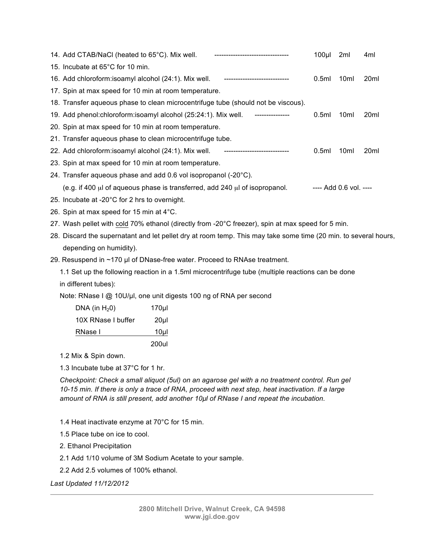| 14. Add CTAB/NaCl (heated to 65°C). Mix well.<br>---------------------------------                              | 100 <sub>µ</sub> | 2ml                    | 4ml              |
|-----------------------------------------------------------------------------------------------------------------|------------------|------------------------|------------------|
| 15. Incubate at 65°C for 10 min.                                                                                |                  |                        |                  |
| 16. Add chloroform: isoamyl alcohol (24:1). Mix well.                                                           | 0.5ml            | 10 <sub>ml</sub>       | 20 <sub>ml</sub> |
| 17. Spin at max speed for 10 min at room temperature.                                                           |                  |                        |                  |
| 18. Transfer aqueous phase to clean microcentrifuge tube (should not be viscous).                               |                  |                        |                  |
| 19. Add phenol: chloroform: isoamyl alcohol (25:24:1). Mix well.<br>---------------                             | 0.5ml            | 10 <sub>ml</sub>       | 20ml             |
| 20. Spin at max speed for 10 min at room temperature.                                                           |                  |                        |                  |
| 21. Transfer aqueous phase to clean microcentrifuge tube.                                                       |                  |                        |                  |
| 22. Add chloroform: isoamyl alcohol (24:1). Mix well.                                                           | 0.5ml            | 10 <sub>ml</sub>       | 20 <sub>ml</sub> |
| 23. Spin at max speed for 10 min at room temperature.                                                           |                  |                        |                  |
| 24. Transfer aqueous phase and add 0.6 vol isopropanol (-20°C).                                                 |                  |                        |                  |
| (e.g. if 400 $\mu$ of aqueous phase is transferred, add 240 $\mu$ of isopropanol.                               |                  | ---- Add 0.6 vol. ---- |                  |
| 25. Incubate at -20°C for 2 hrs to overnight.                                                                   |                  |                        |                  |
| 26. Spin at max speed for 15 min at 4°C.                                                                        |                  |                        |                  |
| 27. Wash pellet with cold 70% ethanol (directly from -20°C freezer), spin at max speed for 5 min.               |                  |                        |                  |
| 28. Discard the supernatant and let pellet dry at room temp. This may take some time (20 min. to several hours, |                  |                        |                  |
| depending on humidity).                                                                                         |                  |                        |                  |

29. Resuspend in ~170 µl of DNase-free water. Proceed to RNAse treatment.

1.1 Set up the following reaction in a 1.5ml microcentrifuge tube (multiple reactions can be done in different tubes):

Note: RNase I @ 10U/µI, one unit digests 100 ng of RNA per second

| DNA (in $H_2$ 0)   | 170µl           |
|--------------------|-----------------|
| 10X RNase I buffer | 20 <sub>µ</sub> |
| RNase I            | 10ul            |
|                    | 200ul           |

1.2 Mix & Spin down.

1.3 Incubate tube at 37°C for 1 hr.

*Checkpoint: Check a small aliquot (5ul) on an agarose gel with a no treatment control. Run gel 10-15 min. If there is only a trace of RNA, proceed with next step, heat inactivation. If a large amount of RNA is still present, add another 10µl of RNase I and repeat the incubation.*

1.4 Heat inactivate enzyme at 70°C for 15 min.

1.5 Place tube on ice to cool.

2. Ethanol Precipitation

2.1 Add 1/10 volume of 3M Sodium Acetate to your sample.

2.2 Add 2.5 volumes of 100% ethanol.

*Last Updated 11/12/2012*